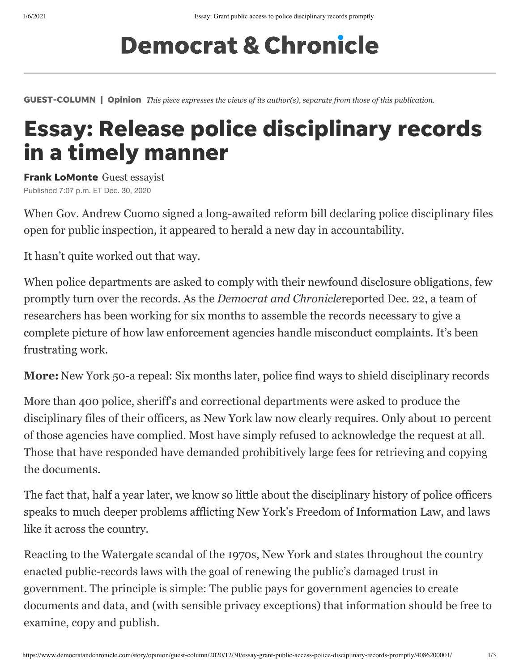## **Democrat & Chronicle**

GUEST-COLUMN | Opinion *This piece expresses the views of its author(s), separate from those of this publication.*

## Essay: Release police disciplinary records in a timely manner

Frank LoMonte Guest essayist Published 7:07 p.m. ET Dec. 30, 2020

When Gov. Andrew Cuomo signed a long-awaited reform bill declaring police disciplinary files open for public inspection, it appeared to herald a new day in accountability.

It hasn't quite worked out that way.

When police departments are asked to comply with their newfound disclosure obligations, few promptly turn over the records. As the *Democrat and Chronicle*[reported](https://www.democratandchronicle.com/story/news/politics/albany/2020/12/22/new-york-state-50-a-repeal-six-months-later-police-shielding-public-records/3964062001/) Dec. 22, a team of researchers has been working for six months to assemble the records necessary to give a complete picture of how law enforcement agencies handle misconduct complaints. It's been frustrating work.

**More:** [New York 50-a repeal: Six months later, police find ways to shield disciplinary records](https://www.democratandchronicle.com/story/news/politics/albany/2020/12/22/new-york-state-50-a-repeal-six-months-later-police-shielding-public-records/3964062001/)

More than 400 police, sheriff's and correctional departments were asked to produce the disciplinary files of their officers, as New York law now clearly requires. Only about 10 percent of those agencies have complied. Most have simply refused to acknowledge the request at all. Those that have responded have demanded prohibitively large fees for retrieving and copying the documents.

The fact that, half a year later, we know so little about the disciplinary history of police officers speaks to much deeper problems afflicting New York's Freedom of Information Law, and laws like it across the country.

Reacting to the Watergate scandal of the 1970s, New York and states throughout the country enacted public-records laws with the goal of renewing the public's damaged trust in government. The principle is simple: The public pays for government agencies to create documents and data, and (with sensible privacy exceptions) that information should be free to examine, copy and publish.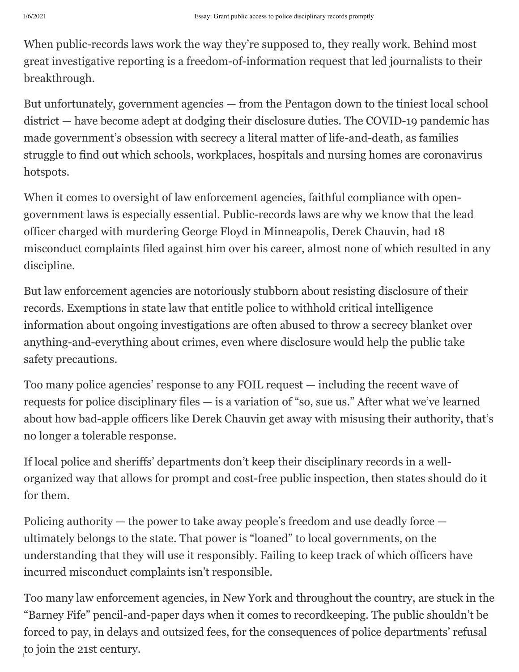When public-records laws work the way they're supposed to, they really work. Behind most great investigative reporting is a freedom-of-information request that led journalists to their breakthrough.

But unfortunately, government agencies — from the Pentagon down to the tiniest local school district — have become adept at dodging their disclosure duties. The COVID-19 pandemic has made government's obsession with secrecy a literal matter of life-and-death, as families struggle to find out which schools, workplaces, hospitals and nursing homes are coronavirus hotspots.

When it comes to oversight of law enforcement agencies, faithful compliance with opengovernment laws is especially essential. Public-records laws are why we know that the lead officer charged with murdering George Floyd in Minneapolis, Derek Chauvin, had 18 misconduct complaints filed against him over his career, almost none of which resulted in any discipline.

But law enforcement agencies are notoriously stubborn about resisting disclosure of their records. Exemptions in state law that entitle police to withhold critical intelligence information about ongoing investigations are often abused to throw a secrecy blanket over anything-and-everything about crimes, even where disclosure would help the public take safety precautions.

Too many police agencies' response to any FOIL request — including the recent wave of requests for police disciplinary files — is a variation of "so, sue us." After what we've learned about how bad-apple officers like Derek Chauvin get away with misusing their authority, that's no longer a tolerable response.

If local police and sheriffs' departments don't keep their disciplinary records in a wellorganized way that allows for prompt and cost-free public inspection, then states should do it for them.

Policing authority — the power to take away people's freedom and use deadly force ultimately belongs to the state. That power is "loaned" to local governments, on the understanding that they will use it responsibly. Failing to keep track of which officers have incurred misconduct complaints isn't responsible.

 $h^{10}$  joint and  $\mu$  as a contant-public-access-police-disciplinary-records-police-disciplinary-records-promptly/408620001/ 20862001/ 20862001/ 20862001/ 20862001/ 208620001/ 20862001/ 208620001/ 208620001/ 208620001/ 2 Too many law enforcement agencies, in New York and throughout the country, are stuck in the "Barney Fife" pencil-and-paper days when it comes to recordkeeping. The public shouldn't be forced to pay, in delays and outsized fees, for the consequences of police departments' refusal to join the 21st century.